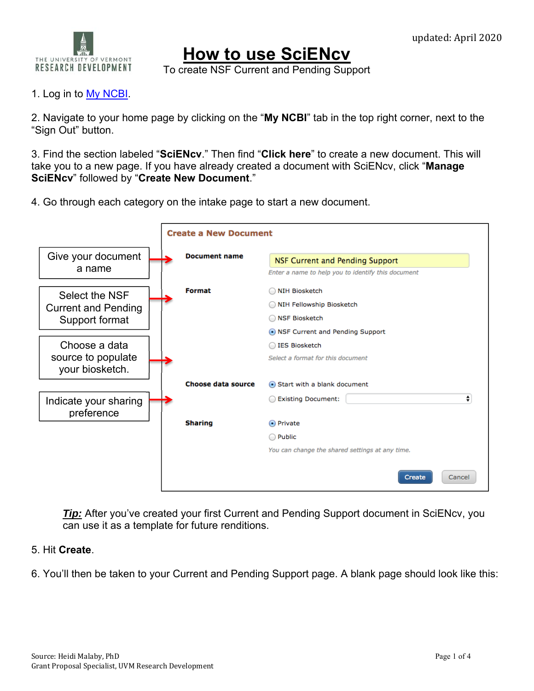

## **How to use SciENcv**

To create NSF Current and Pending Support

## 1. Log in to <u>My NCBI</u>.

2. Navigate to your home page by clicking on the "**My NCBI**" tab in the top right corner, next to the "Sign Out" button.

3. Find the section labeled "**SciENcv**." Then find "**Click here**" to create a new document. This will take you to a new page. If you have already created a document with SciENcv, click "**Manage SciENcv**" followed by "**Create New Document**."

4. Go through each category on the intake page to start a new document.



**Tip:** After you've created your first Current and Pending Support document in SciENcv, you can use it as a template for future renditions.

## 5. Hit **Create**.

6. You'll then be taken to your Current and Pending Support page. A blank page should look like this: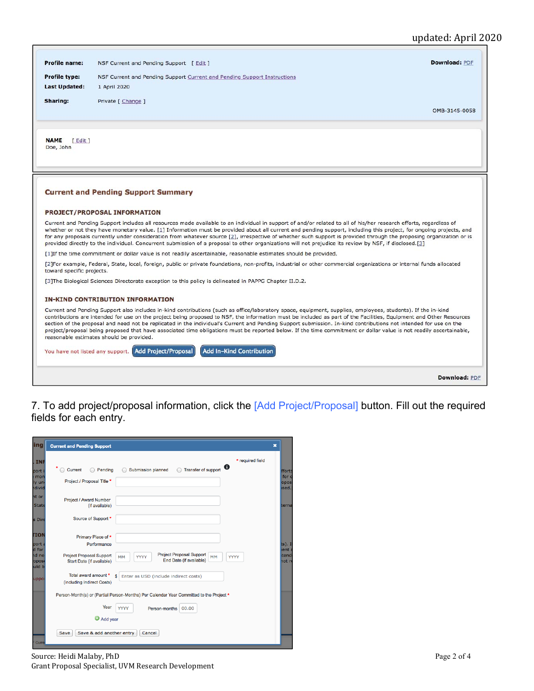## updated: April 2020

| Profile name:                                                                                                                                                                                                                                                                                                                                                                                                                                                                                                                                                                                                                                                            | Download: PDF<br>NSF Current and Pending Support [ Edit ]                                                                                                                                                                                                                                                                                                                                                                                                                                                                                                                                                                                                                                                               |  |  |  |
|--------------------------------------------------------------------------------------------------------------------------------------------------------------------------------------------------------------------------------------------------------------------------------------------------------------------------------------------------------------------------------------------------------------------------------------------------------------------------------------------------------------------------------------------------------------------------------------------------------------------------------------------------------------------------|-------------------------------------------------------------------------------------------------------------------------------------------------------------------------------------------------------------------------------------------------------------------------------------------------------------------------------------------------------------------------------------------------------------------------------------------------------------------------------------------------------------------------------------------------------------------------------------------------------------------------------------------------------------------------------------------------------------------------|--|--|--|
| <b>Profile type:</b>                                                                                                                                                                                                                                                                                                                                                                                                                                                                                                                                                                                                                                                     | NSF Current and Pending Support Current and Pending Support Instructions                                                                                                                                                                                                                                                                                                                                                                                                                                                                                                                                                                                                                                                |  |  |  |
| <b>Last Updated:</b>                                                                                                                                                                                                                                                                                                                                                                                                                                                                                                                                                                                                                                                     | 1 April 2020                                                                                                                                                                                                                                                                                                                                                                                                                                                                                                                                                                                                                                                                                                            |  |  |  |
| Sharing:                                                                                                                                                                                                                                                                                                                                                                                                                                                                                                                                                                                                                                                                 | Private [ Change ]<br>OMB-3145-0058                                                                                                                                                                                                                                                                                                                                                                                                                                                                                                                                                                                                                                                                                     |  |  |  |
| <b>NAME</b><br>relit<br>Doe, John                                                                                                                                                                                                                                                                                                                                                                                                                                                                                                                                                                                                                                        |                                                                                                                                                                                                                                                                                                                                                                                                                                                                                                                                                                                                                                                                                                                         |  |  |  |
|                                                                                                                                                                                                                                                                                                                                                                                                                                                                                                                                                                                                                                                                          | <b>Current and Pending Support Summary</b>                                                                                                                                                                                                                                                                                                                                                                                                                                                                                                                                                                                                                                                                              |  |  |  |
|                                                                                                                                                                                                                                                                                                                                                                                                                                                                                                                                                                                                                                                                          | <b>PROJECT/PROPOSAL INFORMATION</b>                                                                                                                                                                                                                                                                                                                                                                                                                                                                                                                                                                                                                                                                                     |  |  |  |
| Current and Pending Support includes all resources made available to an individual in support of and/or related to all of his/her research efforts, regardless of<br>whether or not they have monetary value. [1] Information must be provided about all current and pending support, including this project, for ongoing projects, and<br>for any proposals currently under consideration from whatever source [2], irrespective of whether such support is provided through the proposing organization or is<br>provided directly to the individual. Concurrent submission of a proposal to other organizations will not prejudice its review by NSF, if disclosed.[3] |                                                                                                                                                                                                                                                                                                                                                                                                                                                                                                                                                                                                                                                                                                                         |  |  |  |
|                                                                                                                                                                                                                                                                                                                                                                                                                                                                                                                                                                                                                                                                          | [1] If the time commitment or dollar value is not readily ascertainable, reasonable estimates should be provided.                                                                                                                                                                                                                                                                                                                                                                                                                                                                                                                                                                                                       |  |  |  |
| toward specific projects.                                                                                                                                                                                                                                                                                                                                                                                                                                                                                                                                                                                                                                                | [2] For example, Federal, State, local, foreign, public or private foundations, non-profits, industrial or other commercial organizations or internal funds allocated                                                                                                                                                                                                                                                                                                                                                                                                                                                                                                                                                   |  |  |  |
|                                                                                                                                                                                                                                                                                                                                                                                                                                                                                                                                                                                                                                                                          | [3] The Biological Sciences Directorate exception to this policy is delineated in PAPPG Chapter II.D.2.                                                                                                                                                                                                                                                                                                                                                                                                                                                                                                                                                                                                                 |  |  |  |
|                                                                                                                                                                                                                                                                                                                                                                                                                                                                                                                                                                                                                                                                          | <b>IN-KIND CONTRIBUTION INFORMATION</b>                                                                                                                                                                                                                                                                                                                                                                                                                                                                                                                                                                                                                                                                                 |  |  |  |
|                                                                                                                                                                                                                                                                                                                                                                                                                                                                                                                                                                                                                                                                          | Current and Pending Support also includes in-kind contributions (such as office/laboratory space, equipment, supplies, employees, students). If the in-kind<br>contributions are intended for use on the project being proposed to NSF, the information must be included as part of the Facilities, Equipment and Other Resources<br>section of the proposal and need not be replicated in the individual's Current and Pending Support submission. In-kind contributions not intended for use on the<br>project/proposal being proposed that have associated time obligations must be reported below. If the time commitment or dollar value is not readily ascertainable,<br>reasonable estimates should be provided. |  |  |  |
|                                                                                                                                                                                                                                                                                                                                                                                                                                                                                                                                                                                                                                                                          | <b>Add In-Kind Contribution</b><br>You have not listed any support. Add Project/Proposal                                                                                                                                                                                                                                                                                                                                                                                                                                                                                                                                                                                                                                |  |  |  |
|                                                                                                                                                                                                                                                                                                                                                                                                                                                                                                                                                                                                                                                                          | Download: PDF                                                                                                                                                                                                                                                                                                                                                                                                                                                                                                                                                                                                                                                                                                           |  |  |  |

7. To add project/proposal information, click the [Add Project/Proposal] button. Fill out the required fields for each entry.

| ing                              | <b>Current and Pending Support</b>                                                                                                                                   | $\boldsymbol{\mathsf{x}}$ |
|----------------------------------|----------------------------------------------------------------------------------------------------------------------------------------------------------------------|---------------------------|
| <b>INF</b>                       | * required field                                                                                                                                                     |                           |
| port                             | ❶<br>Transfer of support<br>Submission planned<br>Current<br>Pending                                                                                                 | fforts                    |
| mon<br>ly uni<br>hdivid          | Project / Proposal Title *                                                                                                                                           | for o<br>oposi<br>ised.   |
| nt or<br><b>State</b>            | Project / Award Number<br>(if available)                                                                                                                             | terna                     |
| s Dire                           | Source of Support *                                                                                                                                                  |                           |
| <b>TION</b>                      | Primary Place of *                                                                                                                                                   |                           |
| port a                           | Performance                                                                                                                                                          | $ts)$ . If                |
| d for<br>nd ne<br>opost<br>uld b | <b>Project Proposal Support</b><br><b>Project Proposal Support</b><br>MM<br><b>MM</b><br>YYYY<br><b>YYYY</b><br>End Date (if available)<br>Start Date (if available) | ient a<br>itend<br>not re |
| uppo                             | Total award amount *<br>s<br>Enter as USD (include indirect costs)<br>(including Indirect Costs)                                                                     |                           |
|                                  | Person-Month(s) or (Partial Person-Months) Per Calendar Year Committed to the Project *                                                                              |                           |
|                                  | Year<br>YYYY<br>Person-months<br>00.00                                                                                                                               |                           |
|                                  | Add year                                                                                                                                                             |                           |
| Curre                            | Save & add another entry<br>Save<br>Cancel                                                                                                                           |                           |

Source: Heidi Malaby, PhD Page 2 of 4 Grant Proposal Specialist, UVM Research Development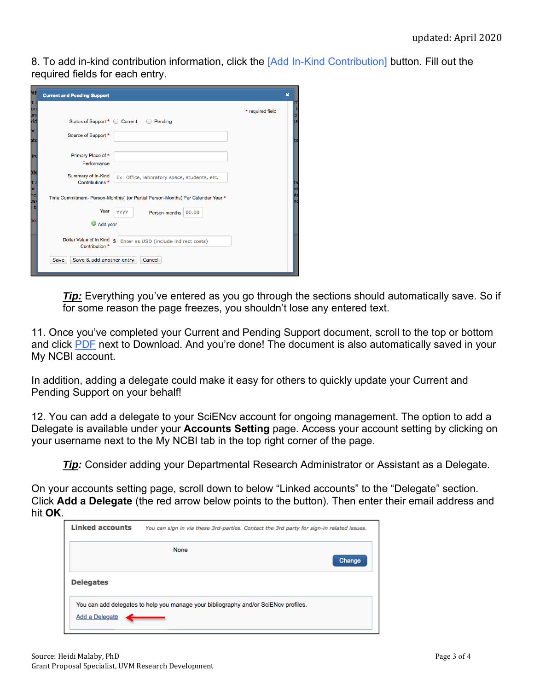8. To add in-kind contribution information, click the [Add In-Kind Contribution] button. Fill out the required fields for each entry.

| NF                      | <b>Current and Pending Support</b>                                                               | $\boldsymbol{\mathsf{x}}$ |
|-------------------------|--------------------------------------------------------------------------------------------------|---------------------------|
| t i<br>on<br>Jn.<br>rid | Status of Support <sup>★</sup> ○ Current<br>Pending<br>$\left( \quad \right)$                    | * required field          |
| br<br>ate               | Source of Support *                                                                              |                           |
| ire                     | Primary Place of *<br>Performance                                                                |                           |
| חכ<br>br                | Summary of In-Kind<br>Ex: Office, laboratory space, students, etc.<br>Contributions <sup>*</sup> |                           |
| he<br><b>DS</b>         | Time Commitment- Person-Month(s) (or Partial Person-Months) Per Calendar Year *                  |                           |
| b                       | Year<br><b>YYYY</b><br>Person-months<br>00.00                                                    |                           |
| DО                      | $\mathbf{\circ}$<br>Add year                                                                     |                           |
|                         | Dollar Value of In Kind s<br>Enter as USD (include indirect costs)<br>Contribution *             |                           |
|                         | Save & add another entry<br>Save<br>Cancel                                                       |                           |

*Tip:* Everything you've entered as you go through the sections should automatically save. So if for some reason the page freezes, you shouldn't lose any entered text.

11. Once you've completed your Current and Pending Support document, scroll to the top or bottom and click PDF next to Download. And you're done! The document is also automatically saved in your My NCBI account.

In addition, adding a delegate could make it easy for others to quickly update your Current and Pending Support on your behalf!

12. You can add a delegate to your SciENcv account for ongoing management. The option to add a Delegate is available under your **Accounts Setting** page. Access your account setting by clicking on your username next to the My NCBI tab in the top right corner of the page.

*Tip:* Consider adding your Departmental Research Administrator or Assistant as a Delegate.

On your accounts setting page, scroll down to below "Linked accounts" to the "Delegate" section. Click **Add a Delegate** (the red arrow below points to the button). Then enter their email address and hit **OK**.

| <b>Linked accounts</b> | You can sign in via these 3rd-parties. Contact the 3rd party for sign-in related issues. |
|------------------------|------------------------------------------------------------------------------------------|
|                        | <b>None</b><br>Change                                                                    |
| <b>Delegates</b>       |                                                                                          |
| Add a Delegate         | You can add delegates to help you manage your bibliography and/or SciENcv profiles.      |